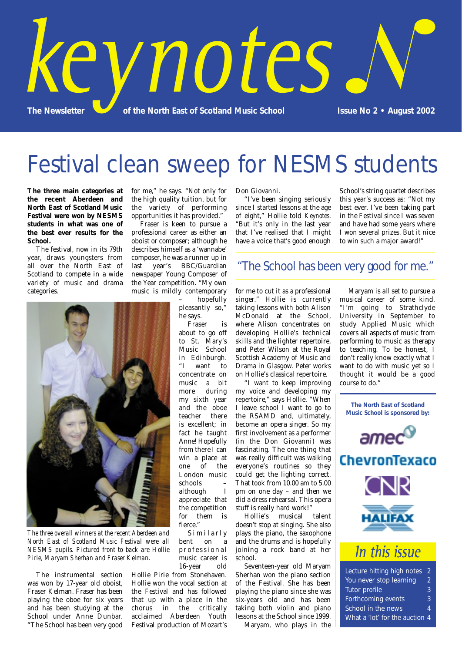

## Festival clean sweep for NESMS students

**The three main categories at the recent Aberdeen and North East of Scotland Music Festival were won by NESMS students in what was one of the best ever results for the School.**

The festival, now in its 79th year, draws youngsters from all over the North East of Scotland to compete in a wide variety of music and drama categories.

for me," he says. "Not only for the high quality tuition, but for the variety of performing opportunities it has provided."

Fraser is keen to pursue a professional career as either an oboist or composer; although he describes himself as a 'wannabe' composer, he was a runner up in<br>last year's BBC/Guardian last year's BBC/Guardian newspaper Young Composer of the Year competition. "My own music is mildly contemporary

hopefully pleasantly so," he says.

Fraser is about to go off to St. Mary's Music School in Edinburgh. "I want to concentrate on music a bit more during my sixth year and the oboe teacher there is excellent; in fact he taught Anne! Hopefully from there I can win a place at<br>one of the  $of$  the London music schools –<br>although I although appreciate that the competition for them is fierce."

Similarly bent on a professional music career is 16-year old

Hollie Pirie from Stonehaven. Hollie won the vocal section at the Festival and has followed that up with a place in the chorus in the critically acclaimed Aberdeen Youth Festival production of Mozart's Don Giovanni.

"I've been singing seriously since I started lessons at the age of eight," Hollie told *Keynotes*. "But it's only in the last year that I've realised that I might have a voice that's good enough School's string quartet describes this year's success as: "Not my best ever. I've been taking part in the Festival since I was seven and have had some years where I won several prizes. But it nice to win such a major award!"

### "The School has been very good for me."

for me to cut it as a professional singer." Hollie is currently taking lessons with both Alison McDonald at the School, where Alison concentrates on developing Hollie's technical skills and the lighter repertoire, and Peter Wilson at the Royal Scottish Academy of Music and Drama in Glasgow. Peter works on Hollie's classical repertoire.

"I want to keep improving my voice and developing my repertoire," says Hollie. "When I leave school I want to go to the RSAMD and, ultimately, become an opera singer. So my first involvement as a performer (in the Don Giovanni) was fascinating. The one thing that was really difficult was walking everyone's routines so they could get the lighting correct. That took from 10.00 am to 5.00 pm on one day – and then we did a dress rehearsal. This opera stuff is really hard work!"

Hollie's musical talent doesn't stop at singing. She also plays the piano, the saxophone and the drums and is hopefully joining a rock band at her school.

Seventeen-year old Maryam Sherhan won the piano section of the Festival. She has been playing the piano since she was six-years old and has been taking both violin and piano lessons at the School since 1999.

Maryam, who plays in the

Maryam is all set to pursue a musical career of some kind. "I'm going to Strathclyde University in September to study Applied Music which covers all aspects of music from performing to music as therapy to teaching. To be honest, I don't really know exactly what I want to do with music yet so I thought it would be a good



What a 'lot' for the auction 4



*The three overall winners at the recent Aberdeen and North East of Scotland Music Festival were all NESMS pupils. Pictured front to back are Hollie Pirie, Maryam Sherhan and Fraser Kelman.*

The instrumental section was won by 17-year old oboist, Fraser Kelman. Fraser has been playing the oboe for six years and has been studying at the School under Anne Dunbar. "The School has been very good

course to do." **The North East of Scotland**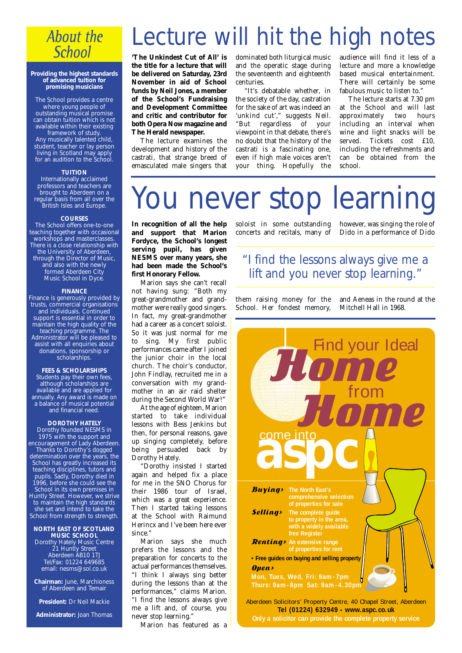## **About the School**

#### **Providing the highest standards of advanced tuition for promising musicians**

The School provides a centre where young people of outstanding musical promise can obtain tuition which is not available within their existing framework of study. Any musically talented child,

student, teacher or lay person living in Scotland may apply for an audition to the School.

### **TUITION**

Internationally acclaimed professors and teachers are brought to Aberdeen on a regular basis from all over the British Isles and Europe.

### **COURSES**

The School offers one-to-one teaching together with occasional workshops and masterclasses. There is a close relationship with the University of Aberdeen, through the Director of Music, and also with the newly formed Aberdeen City Music School in Dyce.

#### **FINANCE**

Finance is generously provided by trusts, commercial organisations and individuals. Continued support is essential in order to maintain the high quality of the teaching programme. The Administrator will be pleased to assist with all enquiries about donations, sponsorship or scholarships.

### **FEES & SCHOLARSHIPS**

Students pay their own fees, although scholarships are available and are applied for annually. Any award is made on a balance of musical potential and financial need.

#### **DOROTHY HATELY**

Dorothy founded NESMS in 1975 with the support and encouragement of Lady Aberdeen. Thanks to Dorothy's dogged determination over the years, the School has greatly increased its teaching disciplines, tutors and pupils. Sadly, Dorothy died in 1996, before she could see the School in its own premises in Huntly Street. However, we strive to maintain the high standards she set and intend to take the School from strength to strength.

#### **NORTH EAST OF SCOTLAND MUSIC SCHOOL**

Dorothy Hately Music Centre 21 Huntly Street Aberdeen AB10 1TJ Tel/Fax: 01224 649685 email: nesms@sol.co.uk

**Chairman:** June, Marchioness of Aberdeen and Temair

**President:** Dr Neil Mackie

**Administrator:** Joan Thomas

## Lecture will hit the high notes

**'The Unkindest Cut of All' is the title for a lecture that will be delivered on Saturday, 23rd November in aid of School funds by Neil Jones, a member of the School's Fundraising and Development Committee and critic and contributor for both Opera Now magazine and The Herald newspaper.**

The lecture examines the development and history of the castrati, that strange breed of emasculated male singers that dominated both liturgical music and the operatic stage during the seventeenth and eighteenth centuries.

"It's debatable whether, in the society of the day, castration for the sake of art was indeed an 'unkind cut'," suggests Neil. regardless of your viewpoint in that debate, there's no doubt that the history of the castrati is a fascinating one, even if high male voices aren't your thing. Hopefully the

audience will find it less of a lecture and more a knowledge based musical entertainment. There will certainly be some fabulous music to listen to."

The lecture starts at 7.30 pm at the School and will last approximately two hours including an interval when wine and light snacks will be served. Tickets cost £10, including the refreshments and can be obtained from the school.

# You never stop learning

**In recognition of all the help and support that Marion Fordyce, the School's longest serving pupil, has given NESMS over many years, she had been made the School's first Honorary Fellow.**

Marion says she can't recall not having sung: "Both my great-grandmother and grandmother were really good singers. In fact, my great-grandmother had a career as a concert soloist. So it was just normal for me to sing. My first public performances came after I joined the junior choir in the local church. The choir's conductor, John Findlay, recruited me in a conversation with my grandmother in an air raid shelter during the Second World War!"

At the age of eighteen, Marion started to take individual lessons with Bess Jenkins but then, for personal reasons, gave up singing completely, before being persuaded back by Dorothy Hately.

"Dorothy insisted I started again and helped fix a place for me in the SNO Chorus for their 1986 tour of Israel, which was a great experience. Then I started taking lessons at the School with Raimund Herincx and I've been here ever since."

Marion says she much prefers the lessons and the preparation for concerts to the actual performances themselves. "I think I always sing better during the lessons than at the performances," claims Marion. "I find the lessons always give me a lift and, of course, you never stop learning."

Marion has featured as a

soloist in some outstanding however, was singing the role of concerts and recitals, many of

Dido in a performance of Dido

### "I find the lessons always give me a lift and you never stop learning."

them raising money for the School. Her fondest memory, and Aeneas in the round at the Mitchell Hall in 1968.



**Only a solicitor can provide the complete property service**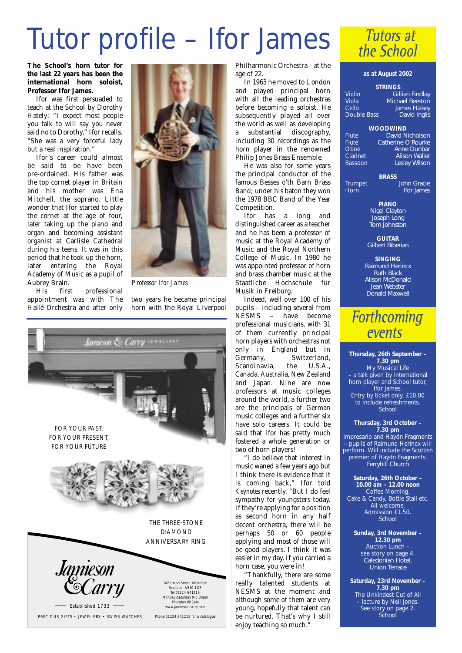# Tutor profile – Ifor James

**The School's horn tutor for the last 22 years has been the international horn soloist, Professor Ifor James.**

Ifor was first persuaded to teach at the School by Dorothy Hately: "I expect most people you talk to will say you never said no to Dorothy," Ifor recalls. "She was a very forceful lady but a real inspiration."

Ifor's career could almost be said to be have been pre-ordained. His father was the top cornet player in Britain and his mother was Ena Mitchell, the soprano. Little wonder that Ifor started to play the cornet at the age of four, later taking up the piano and organ and becoming assistant organist at Carlisle Cathedral during his teens. It was in this period that he took up the horn, later entering the Royal Academy of Music as a pupil of Aubrey Brain.

His first professional appointment was with The Hallé Orchestra and after only



*Professor Ifor James*

two years he became principal horn with the Royal Liverpool



Philharmonic Orchestra – at the age of 22.

In 1963 he moved to London and played principal horn with all the leading orchestras before becoming a soloist. He subsequently played all over the world as well as developing a substantial discography, including 30 recordings as the horn player in the renowned Philip Jones Brass Ensemble.

He was also for some years the principal conductor of the famous Besses o'th Barn Brass Band; under his baton they won the 1978 BBC Band of the Year Competition.

Ifor has a long and distinguished career as a teacher and he has been a professor of music at the Royal Academy of Music and the Royal Northern College of Music. In 1980 he was appointed professor of horn and brass chamber music at the Staatliche Hochschule für Musik in Freiburg.

Indeed, well over 100 of his pupils – including several from NESMS – have become professional musicians, with 31 of them currently principal horn players with orchestras not only in England but in<br>Germany. Switzerland, Switzerland,<br>the U.S.A. Scandinavia, the U.S.A. Canada, Australia, New Zealand and Japan. Nine are now professors at music colleges around the world, a further two are the principals of German music colleges and a further six have solo careers. It could be said that Ifor has pretty much fostered a whole generation or two of horn players!

"I do believe that interest in music waned a few years ago but I think there is evidence that it is coming back," Ifor told *Keynotes* recently. "But I do feel sympathy for youngsters today. If they're applying for a position as second horn in any half decent orchestra, there will be perhaps 50 or 60 people applying and most of those will be good players. I think it was easier in my day. If you carried a horn case, you were in!

"Thankfully, there are some really talented students at NESMS at the moment and although some of them are very young, hopefully that talent can be nurtured. That's why I still enjoy teaching so much."



### **as at August 2002**

### **STRINGS** Violin *Gillian Findlay* Viola *Michael Beeston*

Cello *James Halsey* Double Bass *David Inglis*

**WOODWIND**

Flute *David Nicholson* Flute *Catherine O'Rourke*<br>Choe *Anne Dunbar* Oboe *Anne Dunbar* Clarinet *Alison Waller* Bassoon *Lesley Wilson*

**BRASS**

Trumpet *John Gracie* Horn *Ifor James*

> **PIANO** *Nigel Clayton Joseph Long Tom Johnston*

**GUITAR** *Gilbert Biberian*

**SINGING** *Raimund Herincx Ruth Black Alison McDonald Jean Webster Donald Maxwell*

## **Forthcoming** events

**Thursday, 26th September – 7.30 pm**  My Musical Life – a talk given by international horn player and School tutor, Ifor James. Entry by ticket only, £10.00 to include refreshments. *School*

**Thursday, 3rd October – 7.30 pm**

Impresario and Haydn Fragments – pupils of Raimund Herincx will perform. Will include the Scottish premier of Haydn Fragments. *Ferryhill Church*

**Saturday, 26th October – 10.00 am – 12.00 noon** Coffee Morning. Cake & Candy, Bottle Stall etc. All welcome. Admission £1.50. *School*

**Sunday, 3rd November – 12.30 pm** Auction Lunch – see story on page 4. *Caledonian Hotel, Union Terrace*

**Saturday, 23rd November – 7.30 pm**  The Unkindest Cut of All – lecture by Neil Jones. See story on page 2. *School*